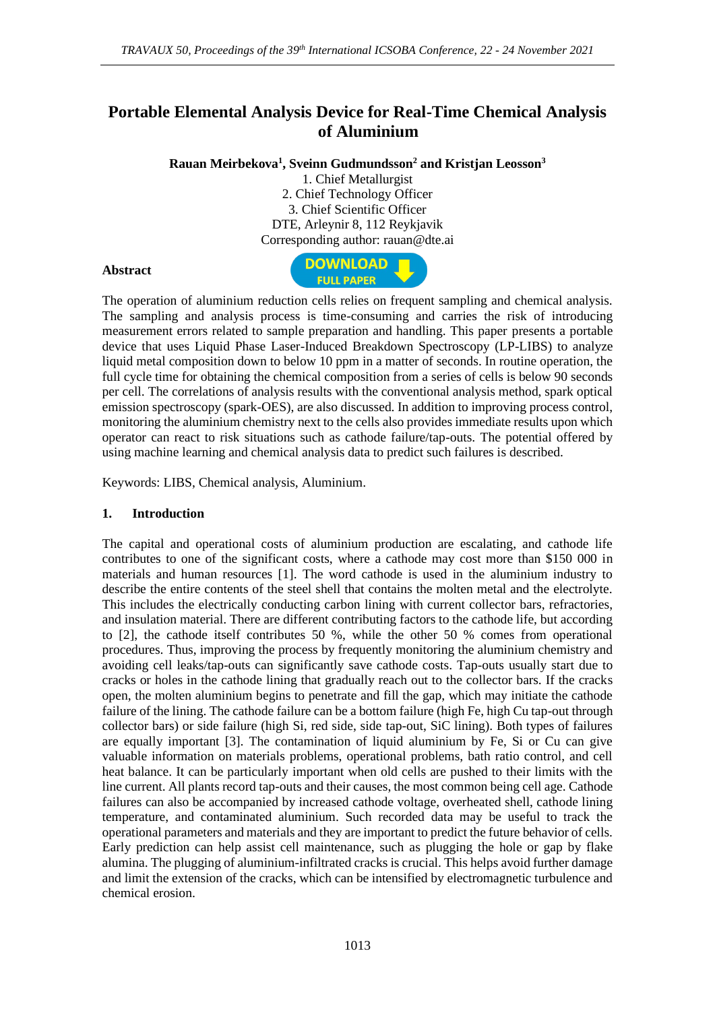# **Portable Elemental Analysis Device for Real-Time Chemical Analysis of Aluminium**

**Rauan Meirbekova<sup>1</sup> , Sveinn Gudmundsson<sup>2</sup> and Kristjan Leosson<sup>3</sup>**

1. Chief Metallurgist 2. Chief Technology Officer 3. Chief Scientific Officer DTE, Arleynir 8, 112 Reykjavik Corresponding author: rauan@dte.ai

#### **Abstract**



The operation of aluminium reduction cells relies on frequent sampling and chemical analysis. The sampling and analysis process is time-consuming and carries the risk of introducing measurement errors related to sample preparation and handling. This paper presents a portable device that uses Liquid Phase Laser-Induced Breakdown Spectroscopy (LP-LIBS) to analyze liquid metal composition down to below 10 ppm in a matter of seconds. In routine operation, the full cycle time for obtaining the chemical composition from a series of cells is below 90 seconds per cell. The correlations of analysis results with the conventional analysis method, spark optical emission spectroscopy (spark-OES), are also discussed. In addition to improving process control, monitoring the aluminium chemistry next to the cells also provides immediate results upon which operator can react to risk situations such as cathode failure/tap-outs. The potential offered by using machine learning and chemical analysis data to predict such failures is described.

Keywords: LIBS, Chemical analysis, Aluminium.

#### **1. Introduction**

The capital and operational costs of aluminium production are escalating, and cathode life contributes to one of the significant costs, where a cathode may cost more than \$150 000 in materials and human resources [1]. The word cathode is used in the aluminium industry to describe the entire contents of the steel shell that contains the molten metal and the electrolyte. This includes the electrically conducting carbon lining with current collector bars, refractories, and insulation material. There are different contributing factors to the cathode life, but according to [2], the cathode itself contributes 50 %, while the other 50 % comes from operational procedures. Thus, improving the process by frequently monitoring the aluminium chemistry and avoiding cell leaks/tap-outs can significantly save cathode costs. Tap-outs usually start due to cracks or holes in the cathode lining that gradually reach out to the collector bars. If the cracks open, the molten aluminium begins to penetrate and fill the gap, which may initiate the cathode failure of the lining. The cathode failure can be a bottom failure (high Fe, high Cu tap-out through collector bars) or side failure (high Si, red side, side tap-out, SiC lining). Both types of failures are equally important [3]. The contamination of liquid aluminium by Fe, Si or Cu can give valuable information on materials problems, operational problems, bath ratio control, and cell heat balance. It can be particularly important when old cells are pushed to their limits with the line current. All plants record tap-outs and their causes, the most common being cell age. Cathode failures can also be accompanied by increased cathode voltage, overheated shell, cathode lining temperature, and contaminated aluminium. Such recorded data may be useful to track the operational parameters and materials and they are important to predict the future behavior of cells. Early prediction can help assist cell maintenance, such as plugging the hole or gap by flake alumina. The plugging of aluminium-infiltrated cracks is crucial. This helps avoid further damage and limit the extension of the cracks, which can be intensified by electromagnetic turbulence and chemical erosion.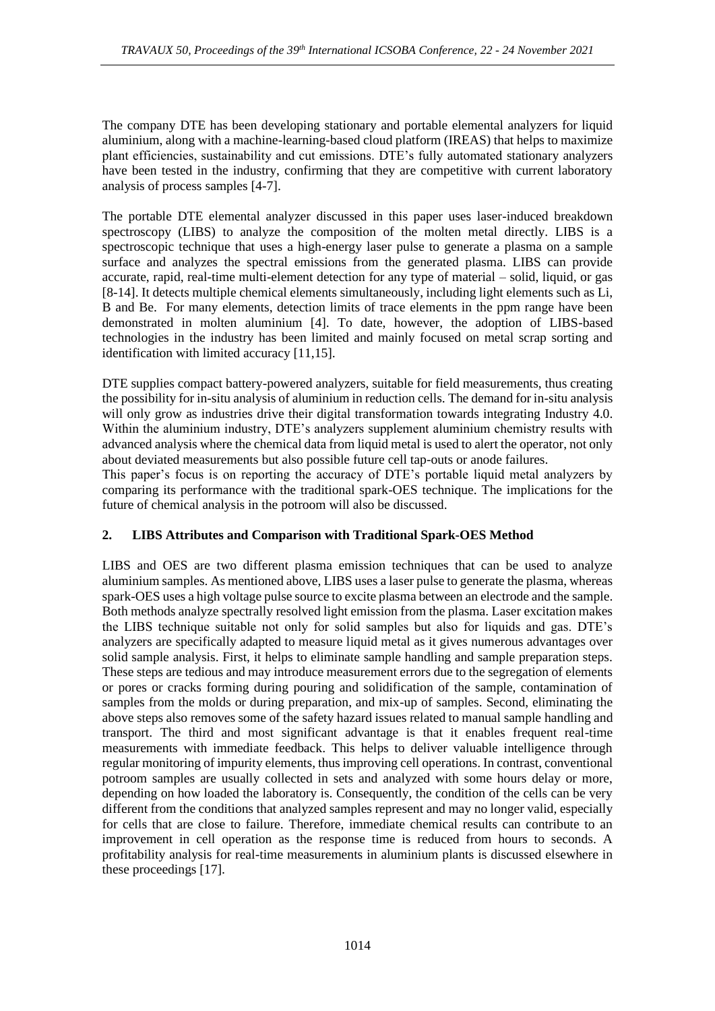The company DTE has been developing stationary and portable elemental analyzers for liquid aluminium, along with a machine-learning-based cloud platform (IREAS) that helps to maximize plant efficiencies, sustainability and cut emissions. DTE's fully automated stationary analyzers have been tested in the industry, confirming that they are competitive with current laboratory analysis of process samples [4-7].

The portable DTE elemental analyzer discussed in this paper uses laser-induced breakdown spectroscopy (LIBS) to analyze the composition of the molten metal directly. LIBS is a spectroscopic technique that uses a high-energy laser pulse to generate a plasma on a sample surface and analyzes the spectral emissions from the generated plasma. LIBS can provide accurate, rapid, real-time multi-element detection for any type of material – solid, liquid, or gas [8-14]. It detects multiple chemical elements simultaneously, including light elements such as Li, B and Be. For many elements, detection limits of trace elements in the ppm range have been demonstrated in molten aluminium [4]. To date, however, the adoption of LIBS-based technologies in the industry has been limited and mainly focused on metal scrap sorting and identification with limited accuracy [11,15].

DTE supplies compact battery-powered analyzers, suitable for field measurements, thus creating the possibility for in-situ analysis of aluminium in reduction cells. The demand for in-situ analysis will only grow as industries drive their digital transformation towards integrating Industry 4.0. Within the aluminium industry, DTE's analyzers supplement aluminium chemistry results with advanced analysis where the chemical data from liquid metal is used to alert the operator, not only about deviated measurements but also possible future cell tap-outs or anode failures.

This paper's focus is on reporting the accuracy of DTE's portable liquid metal analyzers by comparing its performance with the traditional spark-OES technique. The implications for the future of chemical analysis in the potroom will also be discussed.

### **2. LIBS Attributes and Comparison with Traditional Spark-OES Method**

LIBS and OES are two different plasma emission techniques that can be used to analyze aluminium samples. As mentioned above, LIBS uses a laser pulse to generate the plasma, whereas spark-OES uses a high voltage pulse source to excite plasma between an electrode and the sample. Both methods analyze spectrally resolved light emission from the plasma. Laser excitation makes the LIBS technique suitable not only for solid samples but also for liquids and gas. DTE's analyzers are specifically adapted to measure liquid metal as it gives numerous advantages over solid sample analysis. First, it helps to eliminate sample handling and sample preparation steps. These steps are tedious and may introduce measurement errors due to the segregation of elements or pores or cracks forming during pouring and solidification of the sample, contamination of samples from the molds or during preparation, and mix-up of samples. Second, eliminating the above steps also removes some of the safety hazard issues related to manual sample handling and transport. The third and most significant advantage is that it enables frequent real-time measurements with immediate feedback. This helps to deliver valuable intelligence through regular monitoring of impurity elements, thus improving cell operations. In contrast, conventional potroom samples are usually collected in sets and analyzed with some hours delay or more, depending on how loaded the laboratory is. Consequently, the condition of the cells can be very different from the conditions that analyzed samples represent and may no longer valid, especially for cells that are close to failure. Therefore, immediate chemical results can contribute to an improvement in cell operation as the response time is reduced from hours to seconds. A profitability analysis for real-time measurements in aluminium plants is discussed elsewhere in these proceedings [17].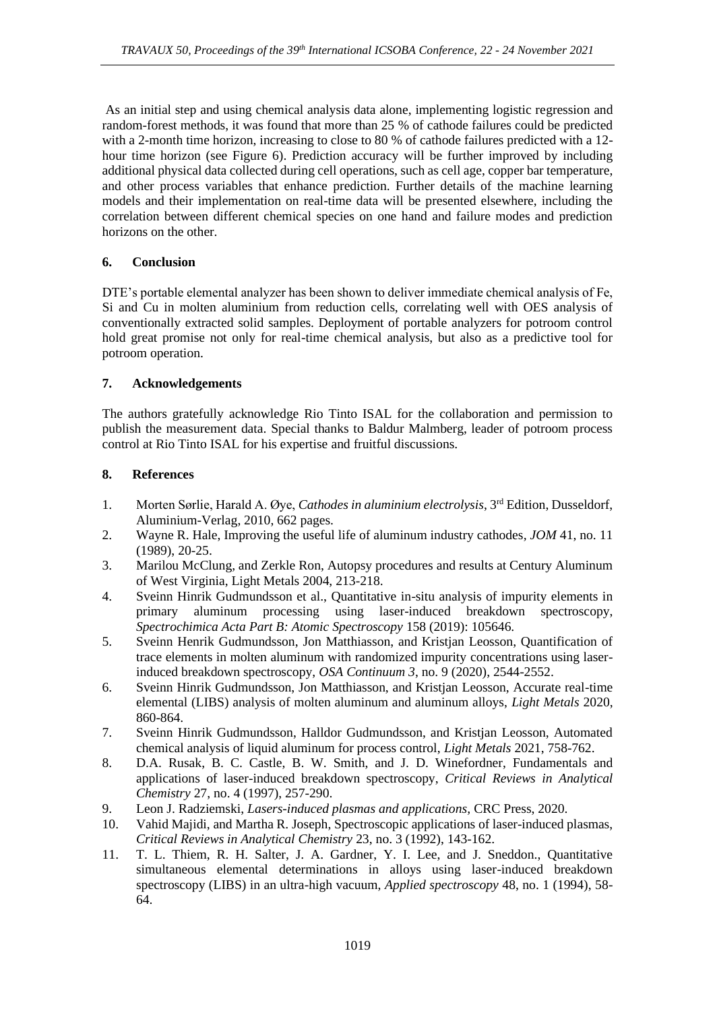As an initial step and using chemical analysis data alone, implementing logistic regression and random-forest methods, it was found that more than 25 % of cathode failures could be predicted with a 2-month time horizon, increasing to close to 80 % of cathode failures predicted with a 12hour time horizon (see Figure 6). Prediction accuracy will be further improved by including additional physical data collected during cell operations, such as cell age, copper bar temperature, and other process variables that enhance prediction. Further details of the machine learning models and their implementation on real-time data will be presented elsewhere, including the correlation between different chemical species on one hand and failure modes and prediction horizons on the other.

### **6. Conclusion**

DTE's portable elemental analyzer has been shown to deliver immediate chemical analysis of Fe, Si and Cu in molten aluminium from reduction cells, correlating well with OES analysis of conventionally extracted solid samples. Deployment of portable analyzers for potroom control hold great promise not only for real-time chemical analysis, but also as a predictive tool for potroom operation.

### **7. Acknowledgements**

The authors gratefully acknowledge Rio Tinto ISAL for the collaboration and permission to publish the measurement data. Special thanks to Baldur Malmberg, leader of potroom process control at Rio Tinto ISAL for his expertise and fruitful discussions.

## **8. References**

- 1. Morten Sørlie, Harald A. Øye, *Cathodes in aluminium electrolysis*, 3rd Edition, Dusseldorf, Aluminium-Verlag, 2010, 662 pages.
- 2. Wayne R. Hale, Improving the useful life of aluminum industry cathodes*, JOM* 41, no. 11 (1989), 20-25.
- 3. Marilou McClung, and Zerkle Ron, Autopsy procedures and results at Century Aluminum of West Virginia, Light Metals 2004, 213-218.
- 4. Sveinn Hinrik Gudmundsson et al., Quantitative in-situ analysis of impurity elements in primary aluminum processing using laser-induced breakdown spectroscopy, *Spectrochimica Acta Part B: Atomic Spectroscopy* 158 (2019): 105646.
- 5. Sveinn Henrik Gudmundsson, Jon Matthiasson, and Kristjan Leosson, Quantification of trace elements in molten aluminum with randomized impurity concentrations using laserinduced breakdown spectroscopy, *OSA Continuum 3*, no. 9 (2020), 2544-2552.
- 6. Sveinn Hinrik Gudmundsson, Jon Matthiasson, and Kristjan Leosson, Accurate real-time elemental (LIBS) analysis of molten aluminum and aluminum alloys, *Light Metals* 2020, 860-864.
- 7. Sveinn Hinrik Gudmundsson, Halldor Gudmundsson, and Kristjan Leosson, Automated chemical analysis of liquid aluminum for process control, *Light Metals* 2021, 758-762.
- 8. D.A. Rusak, B. C. Castle, B. W. Smith, and J. D. Winefordner, Fundamentals and applications of laser-induced breakdown spectroscopy, *Critical Reviews in Analytical Chemistry* 27, no. 4 (1997), 257-290.
- 9. Leon J. Radziemski, *Lasers-induced plasmas and applications,* CRC Press, 2020.
- 10. Vahid Majidi, and Martha R. Joseph, Spectroscopic applications of laser-induced plasmas, *Critical Reviews in Analytical Chemistry* 23, no. 3 (1992), 143-162.
- 11. T. L. Thiem, R. H. Salter, J. A. Gardner, Y. I. Lee, and J. Sneddon., Quantitative simultaneous elemental determinations in alloys using laser-induced breakdown spectroscopy (LIBS) in an ultra-high vacuum, *Applied spectroscopy* 48, no. 1 (1994), 58- 64.